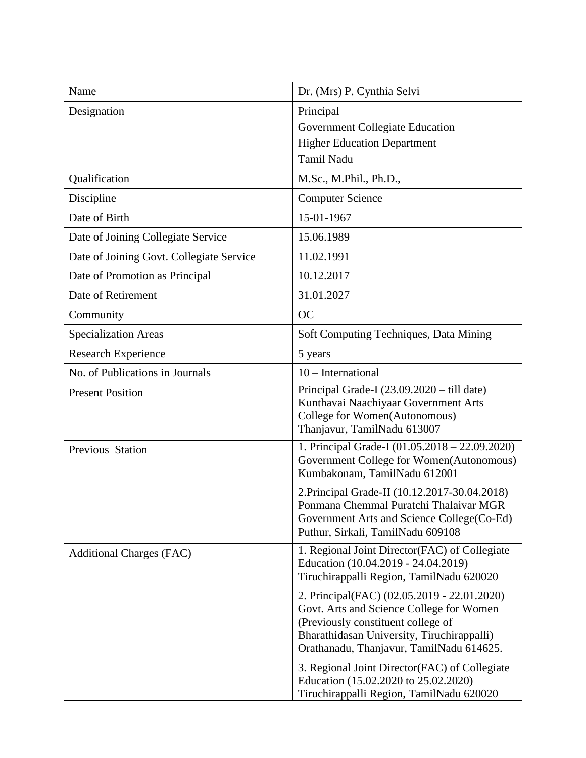| Name                                     | Dr. (Mrs) P. Cynthia Selvi                                                                                                                                                                                              |
|------------------------------------------|-------------------------------------------------------------------------------------------------------------------------------------------------------------------------------------------------------------------------|
| Designation                              | Principal<br>Government Collegiate Education<br><b>Higher Education Department</b><br>Tamil Nadu                                                                                                                        |
| Qualification                            | M.Sc., M.Phil., Ph.D.,                                                                                                                                                                                                  |
| Discipline                               | <b>Computer Science</b>                                                                                                                                                                                                 |
| Date of Birth                            | 15-01-1967                                                                                                                                                                                                              |
| Date of Joining Collegiate Service       | 15.06.1989                                                                                                                                                                                                              |
| Date of Joining Govt. Collegiate Service | 11.02.1991                                                                                                                                                                                                              |
| Date of Promotion as Principal           | 10.12.2017                                                                                                                                                                                                              |
| Date of Retirement                       | 31.01.2027                                                                                                                                                                                                              |
| Community                                | <b>OC</b>                                                                                                                                                                                                               |
| <b>Specialization Areas</b>              | Soft Computing Techniques, Data Mining                                                                                                                                                                                  |
| <b>Research Experience</b>               | 5 years                                                                                                                                                                                                                 |
| No. of Publications in Journals          | 10 - International                                                                                                                                                                                                      |
| <b>Present Position</b>                  | Principal Grade-I (23.09.2020 - till date)<br>Kunthavai Naachiyaar Government Arts<br>College for Women(Autonomous)<br>Thanjavur, TamilNadu 613007                                                                      |
| Previous Station                         | 1. Principal Grade-I (01.05.2018 – 22.09.2020)<br>Government College for Women(Autonomous)<br>Kumbakonam, TamilNadu 612001                                                                                              |
|                                          | 2. Principal Grade-II (10.12.2017-30.04.2018)<br>Ponmana Chemmal Puratchi Thalaivar MGR<br>Government Arts and Science College (Co-Ed)<br>Puthur, Sirkali, TamilNadu 609108                                             |
| <b>Additional Charges (FAC)</b>          | 1. Regional Joint Director(FAC) of Collegiate<br>Education (10.04.2019 - 24.04.2019)<br>Tiruchirappalli Region, TamilNadu 620020                                                                                        |
|                                          | 2. Principal(FAC) (02.05.2019 - 22.01.2020)<br>Govt. Arts and Science College for Women<br>(Previously constituent college of<br>Bharathidasan University, Tiruchirappalli)<br>Orathanadu, Thanjavur, TamilNadu 614625. |
|                                          | 3. Regional Joint Director (FAC) of Collegiate<br>Education (15.02.2020 to 25.02.2020)<br>Tiruchirappalli Region, TamilNadu 620020                                                                                      |